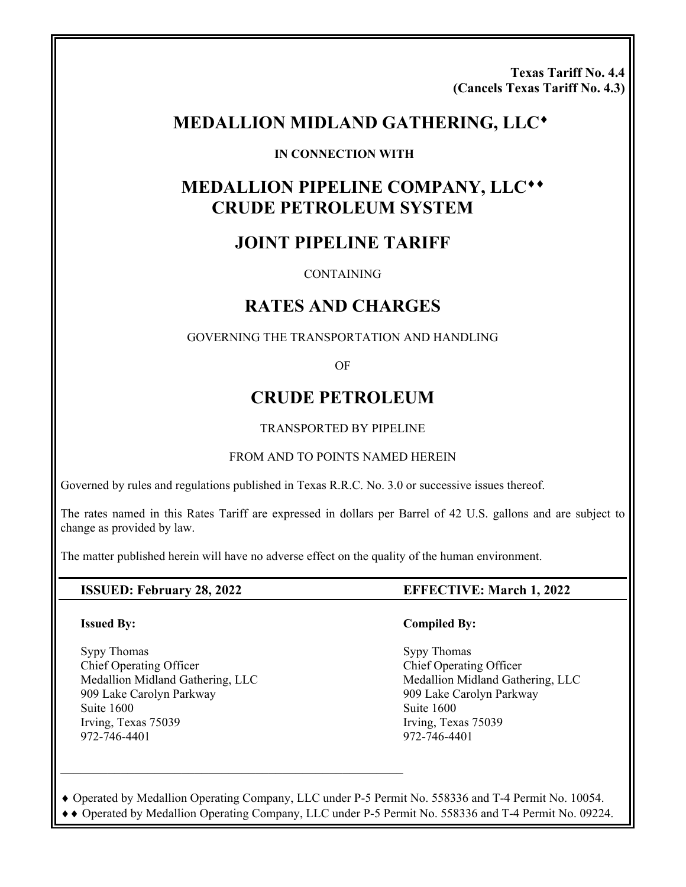**Texas Tariff No. 4.4 (Cancels Texas Tariff No. 4.3)** 

# **MEDALLION MIDLAND GATHERING, LLC**

#### **IN CONNECTION WITH**

# **MEDALLION PIPELINE COMPANY, LLC CRUDE PETROLEUM SYSTEM**

# **JOINT PIPELINE TARIFF**

**CONTAINING** 

# **RATES AND CHARGES**

GOVERNING THE TRANSPORTATION AND HANDLING

OF

# **CRUDE PETROLEUM**

TRANSPORTED BY PIPELINE

#### FROM AND TO POINTS NAMED HEREIN

Governed by rules and regulations published in Texas R.R.C. No. 3.0 or successive issues thereof.

The rates named in this Rates Tariff are expressed in dollars per Barrel of 42 U.S. gallons and are subject to change as provided by law.

The matter published herein will have no adverse effect on the quality of the human environment.

#### **Issued By:**

Sypy Thomas Chief Operating Officer Medallion Midland Gathering, LLC 909 Lake Carolyn Parkway Suite 1600 Irving, Texas 75039 972-746-4401

#### **ISSUED: February 28, 2022 EFFECTIVE: March 1, 2022**

#### **Compiled By:**

 Sypy Thomas Chief Operating Officer Medallion Midland Gathering, LLC 909 Lake Carolyn Parkway Suite 1600 Irving, Texas 75039 972-746-4401

 Operated by Medallion Operating Company, LLC under P-5 Permit No. 558336 and T-4 Permit No. 10054. Operated by Medallion Operating Company, LLC under P-5 Permit No. 558336 and T-4 Permit No. 09224.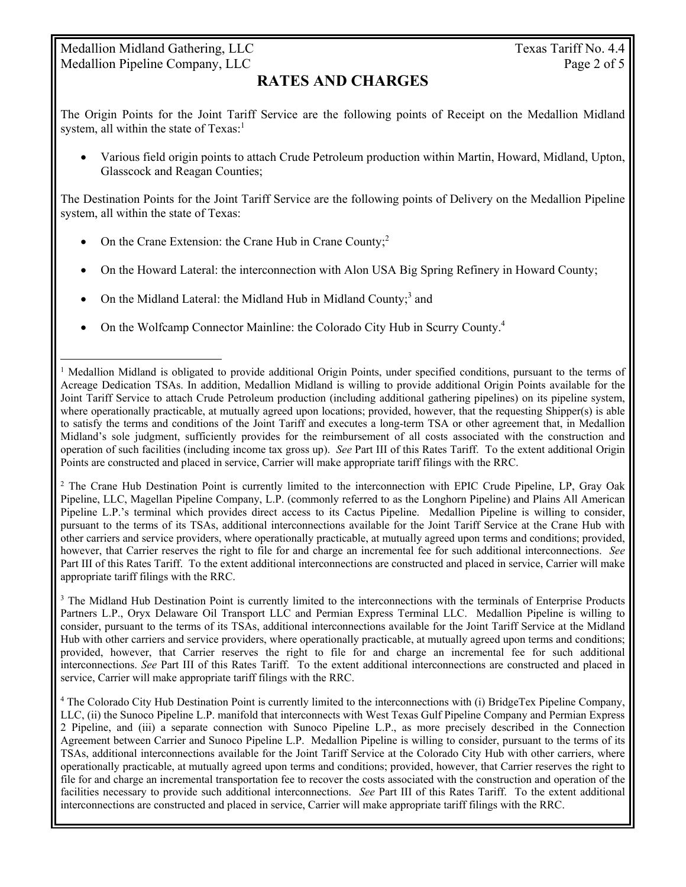## Medallion Midland Gathering, LLC Texas Tariff No. 4.4 Medallion Pipeline Company, LLC Page 2 of 5

 $\overline{a}$ 

## **RATES AND CHARGES**

The Origin Points for the Joint Tariff Service are the following points of Receipt on the Medallion Midland system, all within the state of  $Texas<sup>1</sup>$ .

 Various field origin points to attach Crude Petroleum production within Martin, Howard, Midland, Upton, Glasscock and Reagan Counties;

The Destination Points for the Joint Tariff Service are the following points of Delivery on the Medallion Pipeline system, all within the state of Texas:

- On the Crane Extension: the Crane Hub in Crane County; $^2$
- On the Howard Lateral: the interconnection with Alon USA Big Spring Refinery in Howard County;
- On the Midland Lateral: the Midland Hub in Midland County;<sup>3</sup> and
- On the Wolfcamp Connector Mainline: the Colorado City Hub in Scurry County.<sup>4</sup>

<sup>2</sup> The Crane Hub Destination Point is currently limited to the interconnection with EPIC Crude Pipeline, LP, Gray Oak Pipeline, LLC, Magellan Pipeline Company, L.P. (commonly referred to as the Longhorn Pipeline) and Plains All American Pipeline L.P.'s terminal which provides direct access to its Cactus Pipeline. Medallion Pipeline is willing to consider, pursuant to the terms of its TSAs, additional interconnections available for the Joint Tariff Service at the Crane Hub with other carriers and service providers, where operationally practicable, at mutually agreed upon terms and conditions; provided, however, that Carrier reserves the right to file for and charge an incremental fee for such additional interconnections. *See* Part III of this Rates Tariff. To the extent additional interconnections are constructed and placed in service, Carrier will make appropriate tariff filings with the RRC.

<sup>3</sup> The Midland Hub Destination Point is currently limited to the interconnections with the terminals of Enterprise Products Partners L.P., Oryx Delaware Oil Transport LLC and Permian Express Terminal LLC. Medallion Pipeline is willing to consider, pursuant to the terms of its TSAs, additional interconnections available for the Joint Tariff Service at the Midland Hub with other carriers and service providers, where operationally practicable, at mutually agreed upon terms and conditions; provided, however, that Carrier reserves the right to file for and charge an incremental fee for such additional interconnections. *See* Part III of this Rates Tariff. To the extent additional interconnections are constructed and placed in service, Carrier will make appropriate tariff filings with the RRC.

4 The Colorado City Hub Destination Point is currently limited to the interconnections with (i) BridgeTex Pipeline Company, LLC, (ii) the Sunoco Pipeline L.P. manifold that interconnects with West Texas Gulf Pipeline Company and Permian Express 2 Pipeline, and (iii) a separate connection with Sunoco Pipeline L.P., as more precisely described in the Connection Agreement between Carrier and Sunoco Pipeline L.P. Medallion Pipeline is willing to consider, pursuant to the terms of its TSAs, additional interconnections available for the Joint Tariff Service at the Colorado City Hub with other carriers, where operationally practicable, at mutually agreed upon terms and conditions; provided, however, that Carrier reserves the right to file for and charge an incremental transportation fee to recover the costs associated with the construction and operation of the facilities necessary to provide such additional interconnections. *See* Part III of this Rates Tariff. To the extent additional interconnections are constructed and placed in service, Carrier will make appropriate tariff filings with the RRC.

<sup>&</sup>lt;sup>1</sup> Medallion Midland is obligated to provide additional Origin Points, under specified conditions, pursuant to the terms of Acreage Dedication TSAs. In addition, Medallion Midland is willing to provide additional Origin Points available for the Joint Tariff Service to attach Crude Petroleum production (including additional gathering pipelines) on its pipeline system, where operationally practicable, at mutually agreed upon locations; provided, however, that the requesting Shipper(s) is able to satisfy the terms and conditions of the Joint Tariff and executes a long-term TSA or other agreement that, in Medallion Midland's sole judgment, sufficiently provides for the reimbursement of all costs associated with the construction and operation of such facilities (including income tax gross up). *See* Part III of this Rates Tariff. To the extent additional Origin Points are constructed and placed in service, Carrier will make appropriate tariff filings with the RRC.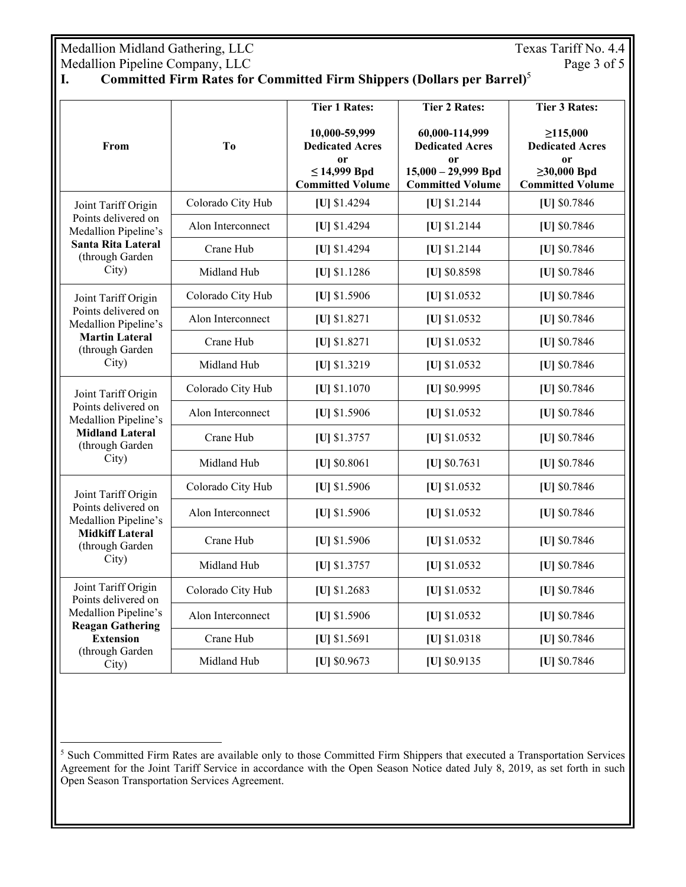Medallion Midland Gathering, LLC<br>
Medallion Pipeline Company, LLC<br>
Page 3 of 5 Medallion Pipeline Company, LLC

 $\overline{a}$ 

## **I. Committed Firm Rates for Committed Firm Shippers (Dollars per Barrel)**<sup>5</sup>

| From                                                                                                                                          | T <sub>o</sub>    | <b>Tier 1 Rates:</b>                                                                          | <b>Tier 2 Rates:</b>                                                                               | <b>Tier 3 Rates:</b>                                                                                      |
|-----------------------------------------------------------------------------------------------------------------------------------------------|-------------------|-----------------------------------------------------------------------------------------------|----------------------------------------------------------------------------------------------------|-----------------------------------------------------------------------------------------------------------|
|                                                                                                                                               |                   | 10,000-59,999<br><b>Dedicated Acres</b><br>0r<br>$\leq$ 14,999 Bpd<br><b>Committed Volume</b> | 60,000-114,999<br><b>Dedicated Acres</b><br>0r<br>$15,000 - 29,999$ Bpd<br><b>Committed Volume</b> | $\geq 115,000$<br><b>Dedicated Acres</b><br><sub>or</sub><br>$\geq 30,000$ Bpd<br><b>Committed Volume</b> |
| Joint Tariff Origin<br>Points delivered on<br>Medallion Pipeline's<br><b>Santa Rita Lateral</b><br>(through Garden                            | Colorado City Hub | [U] \$1.4294                                                                                  | [U] \$1.2144                                                                                       | [U] \$0.7846                                                                                              |
|                                                                                                                                               | Alon Interconnect | [U] \$1.4294                                                                                  | [U] \$1.2144                                                                                       | [U] \$0.7846                                                                                              |
|                                                                                                                                               | Crane Hub         | [U] \$1.4294                                                                                  | [U] \$1.2144                                                                                       | [U] \$0.7846                                                                                              |
| City)                                                                                                                                         | Midland Hub       | [U] \$1.1286                                                                                  | [U] \$0.8598                                                                                       | [U] \$0.7846                                                                                              |
| Joint Tariff Origin<br>Points delivered on<br>Medallion Pipeline's<br><b>Martin Lateral</b><br>(through Garden<br>City)                       | Colorado City Hub | [U] \$1.5906                                                                                  | [U] \$1.0532                                                                                       | [U] \$0.7846                                                                                              |
|                                                                                                                                               | Alon Interconnect | [U] \$1.8271                                                                                  | [U] \$1.0532                                                                                       | [U] \$0.7846                                                                                              |
|                                                                                                                                               | Crane Hub         | [U] \$1.8271                                                                                  | [U] \$1.0532                                                                                       | [U] \$0.7846                                                                                              |
|                                                                                                                                               | Midland Hub       | [U] \$1.3219                                                                                  | [U] \$1.0532                                                                                       | [U] \$0.7846                                                                                              |
| Joint Tariff Origin                                                                                                                           | Colorado City Hub | [U] \$1.1070                                                                                  | [U] \$0.9995                                                                                       | [U] \$0.7846                                                                                              |
| Points delivered on<br>Medallion Pipeline's                                                                                                   | Alon Interconnect | [U] \$1.5906                                                                                  | [U] \$1.0532                                                                                       | [U] \$0.7846                                                                                              |
| <b>Midland Lateral</b><br>(through Garden                                                                                                     | Crane Hub         | [U] \$1.3757                                                                                  | [U] \$1.0532                                                                                       | [U] \$0.7846                                                                                              |
| City)                                                                                                                                         | Midland Hub       | [U] \$0.8061                                                                                  | [U] \$0.7631                                                                                       | [U] \$0.7846                                                                                              |
| Joint Tariff Origin                                                                                                                           | Colorado City Hub | [U] \$1.5906                                                                                  | [U] \$1.0532                                                                                       | [U] \$0.7846                                                                                              |
| Points delivered on<br>Medallion Pipeline's<br><b>Midkiff Lateral</b><br>(through Garden<br>City)                                             | Alon Interconnect | [U] \$1.5906                                                                                  | [U] \$1.0532                                                                                       | [U] \$0.7846                                                                                              |
|                                                                                                                                               | Crane Hub         | [U] \$1.5906                                                                                  | [U] \$1.0532                                                                                       | [U] \$0.7846                                                                                              |
|                                                                                                                                               | Midland Hub       | [U] \$1.3757                                                                                  | [U] \$1.0532                                                                                       | [U] \$0.7846                                                                                              |
| Joint Tariff Origin<br>Points delivered on<br>Medallion Pipeline's<br><b>Reagan Gathering</b><br><b>Extension</b><br>(through Garden<br>City) | Colorado City Hub | [U] $$1.2683$                                                                                 | [U] \$1.0532                                                                                       | [U] \$0.7846                                                                                              |
|                                                                                                                                               | Alon Interconnect | [U] \$1.5906                                                                                  | [U] \$1.0532                                                                                       | [U] \$0.7846                                                                                              |
|                                                                                                                                               | Crane Hub         | [U] $$1.5691$                                                                                 | $[U]$ \$1.0318                                                                                     | [U] \$0.7846                                                                                              |
|                                                                                                                                               | Midland Hub       | [U] \$0.9673                                                                                  | [U] \$0.9135                                                                                       | [U] \$0.7846                                                                                              |

<sup>&</sup>lt;sup>5</sup> Such Committed Firm Rates are available only to those Committed Firm Shippers that executed a Transportation Services Agreement for the Joint Tariff Service in accordance with the Open Season Notice dated July 8, 2019, as set forth in such Open Season Transportation Services Agreement.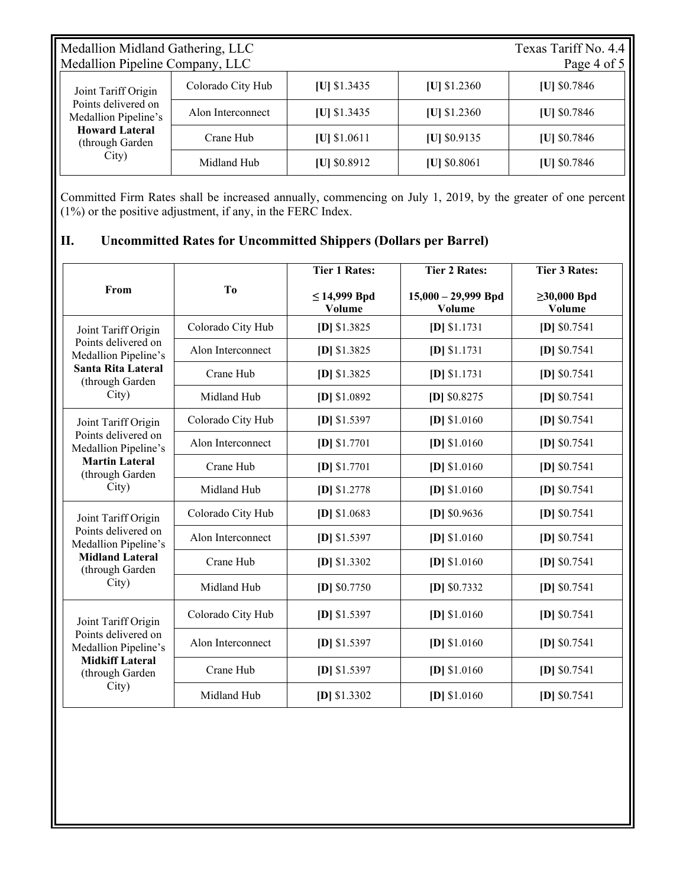| Medallion Midland Gathering, LLC<br>Medallion Pipeline Company, LLC                                                     |                   |                |                | Texas Tariff No. 4.4<br>Page 4 of 5 |
|-------------------------------------------------------------------------------------------------------------------------|-------------------|----------------|----------------|-------------------------------------|
| Joint Tariff Origin<br>Points delivered on<br>Medallion Pipeline's<br><b>Howard Lateral</b><br>(through Garden<br>City) | Colorado City Hub | $[U]$ \$1.3435 | $ U $ \$1.2360 | [U] $$0.7846$                       |
|                                                                                                                         | Alon Interconnect | $[U]$ \$1.3435 | $ U $ \$1.2360 | $ U $ \$0.7846                      |
|                                                                                                                         | Crane Hub         | $ U $ \$1.0611 | $ U $ \$0.9135 | $ U $ \$0.7846                      |
|                                                                                                                         | Midland Hub       | $ U $ \$0.8912 | $ U $ \$0.8061 | $ U $ \$0.7846                      |

Committed Firm Rates shall be increased annually, commencing on July 1, 2019, by the greater of one percent (1%) or the positive adjustment, if any, in the FERC Index.

## **II. Uncommitted Rates for Uncommitted Shippers (Dollars per Barrel)**

|                                                                                                                             |                   | <b>Tier 1 Rates:</b>        | <b>Tier 2 Rates:</b>            | <b>Tier 3 Rates:</b>        |
|-----------------------------------------------------------------------------------------------------------------------------|-------------------|-----------------------------|---------------------------------|-----------------------------|
| From                                                                                                                        | T <sub>0</sub>    | $\leq$ 14,999 Bpd<br>Volume | $15,000 - 29,999$ Bpd<br>Volume | $\geq 30,000$ Bpd<br>Volume |
| Joint Tariff Origin<br>Points delivered on<br>Medallion Pipeline's<br><b>Santa Rita Lateral</b><br>(through Garden<br>City) | Colorado City Hub | $[D]$ \$1.3825              | $[D]$ \$1.1731                  | $[D]$ \$0.7541              |
|                                                                                                                             | Alon Interconnect | $[D]$ \$1.3825              | $[D]$ \$1.1731                  | $[D]$ \$0.7541              |
|                                                                                                                             | Crane Hub         | $[D]$ \$1.3825              | $[D]$ \$1.1731                  | $[D]$ \$0.7541              |
|                                                                                                                             | Midland Hub       | $[D]$ \$1.0892              | $[D]$ \$0.8275                  | $[D]$ \$0.7541              |
| Joint Tariff Origin<br>Points delivered on<br>Medallion Pipeline's<br><b>Martin Lateral</b><br>(through Garden<br>City)     | Colorado City Hub | $[D]$ \$1.5397              | $[D]$ \$1.0160                  | $[D]$ \$0.7541              |
|                                                                                                                             | Alon Interconnect | $[D]$ \$1.7701              | $[D]$ \$1.0160                  | $[D]$ \$0.7541              |
|                                                                                                                             | Crane Hub         | $[D]$ \$1.7701              | $[D]$ \$1.0160                  | $[D]$ \$0.7541              |
|                                                                                                                             | Midland Hub       | $[D]$ \$1.2778              | $[D]$ \$1.0160                  | $[D]$ \$0.7541              |
| Joint Tariff Origin<br>Points delivered on<br>Medallion Pipeline's<br><b>Midland Lateral</b><br>(through Garden<br>City)    | Colorado City Hub | $[D]$ \$1.0683              | $[D]$ \$0.9636                  | $[D]$ \$0.7541              |
|                                                                                                                             | Alon Interconnect | $[D]$ \$1.5397              | $[D]$ \$1.0160                  | $[D]$ \$0.7541              |
|                                                                                                                             | Crane Hub         | $[D]$ \$1.3302              | $[D]$ \$1.0160                  | $[D]$ \$0.7541              |
|                                                                                                                             | Midland Hub       | $[D]$ \$0.7750              | $[D]$ \$0.7332                  | $[D]$ \$0.7541              |
| Joint Tariff Origin<br>Points delivered on<br>Medallion Pipeline's<br><b>Midkiff Lateral</b><br>(through Garden<br>City)    | Colorado City Hub | [D] \$1.5397                | $[D]$ \$1.0160                  | [D] $$0.7541$               |
|                                                                                                                             | Alon Interconnect | $[D]$ \$1.5397              | $[D]$ \$1.0160                  | $[D]$ \$0.7541              |
|                                                                                                                             | Crane Hub         | $[D]$ \$1.5397              | $[D]$ \$1.0160                  | $[D]$ \$0.7541              |
|                                                                                                                             | Midland Hub       | $[D]$ \$1.3302              | $[D]$ \$1.0160                  | $[D]$ \$0.7541              |